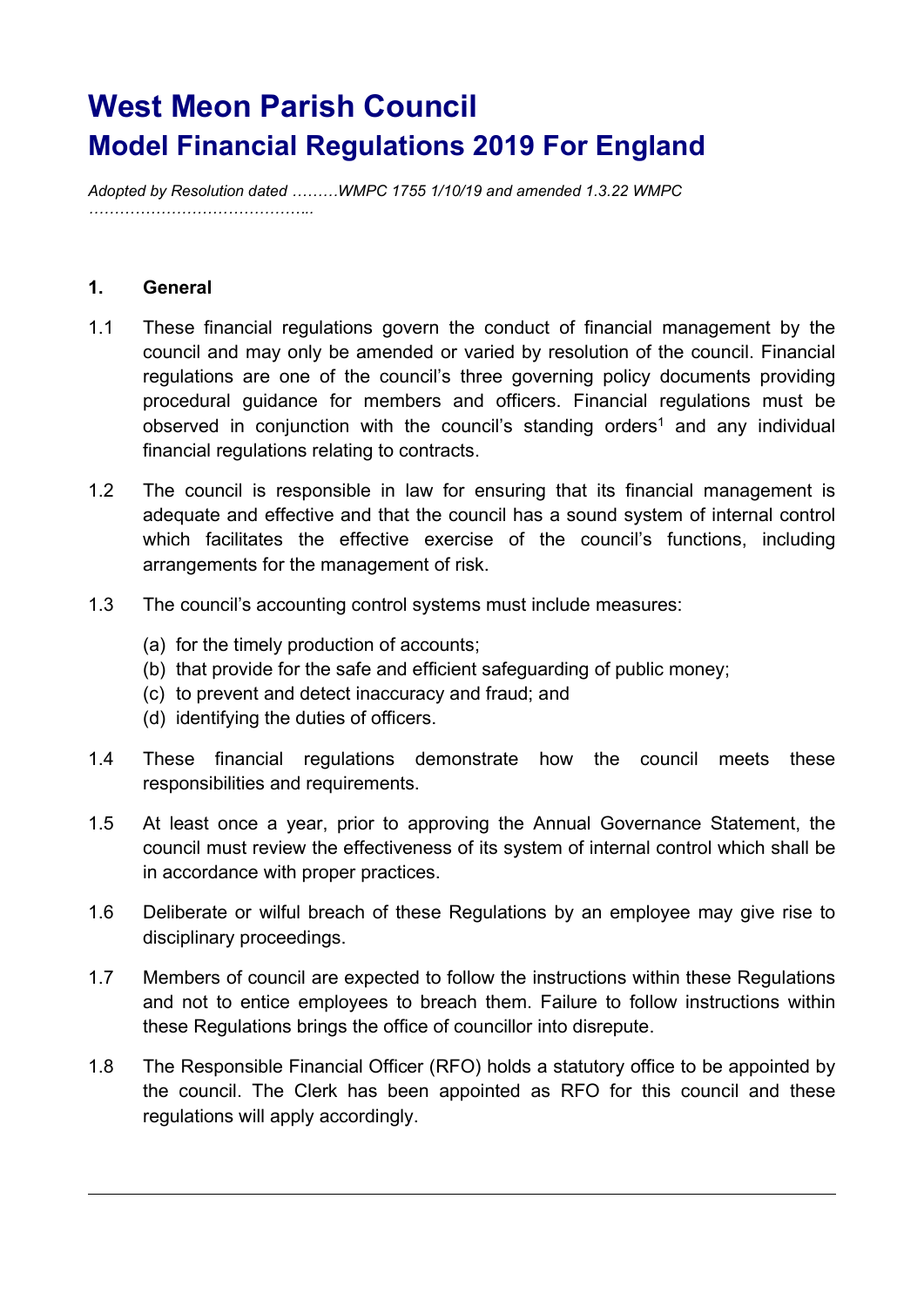# West Meon Parish Council Model Financial Regulations 2019 For England

Adopted by Resolution dated ………WMPC 1755 1/10/19 and amended 1.3.22 WMPC ……………………………………..

## 1. General

- 1.1 These financial regulations govern the conduct of financial management by the council and may only be amended or varied by resolution of the council. Financial regulations are one of the council's three governing policy documents providing procedural guidance for members and officers. Financial regulations must be observed in conjunction with the council's standing orders<sup>1</sup> and any individual financial regulations relating to contracts.
- 1.2 The council is responsible in law for ensuring that its financial management is adequate and effective and that the council has a sound system of internal control which facilitates the effective exercise of the council's functions, including arrangements for the management of risk.
- 1.3 The council's accounting control systems must include measures:
	- (a) for the timely production of accounts;
	- (b) that provide for the safe and efficient safeguarding of public money;
	- (c) to prevent and detect inaccuracy and fraud; and
	- (d) identifying the duties of officers.
- 1.4 These financial regulations demonstrate how the council meets these responsibilities and requirements.
- 1.5 At least once a year, prior to approving the Annual Governance Statement, the council must review the effectiveness of its system of internal control which shall be in accordance with proper practices.
- 1.6 Deliberate or wilful breach of these Regulations by an employee may give rise to disciplinary proceedings.
- 1.7 Members of council are expected to follow the instructions within these Regulations and not to entice employees to breach them. Failure to follow instructions within these Regulations brings the office of councillor into disrepute.
- 1.8 The Responsible Financial Officer (RFO) holds a statutory office to be appointed by the council. The Clerk has been appointed as RFO for this council and these regulations will apply accordingly.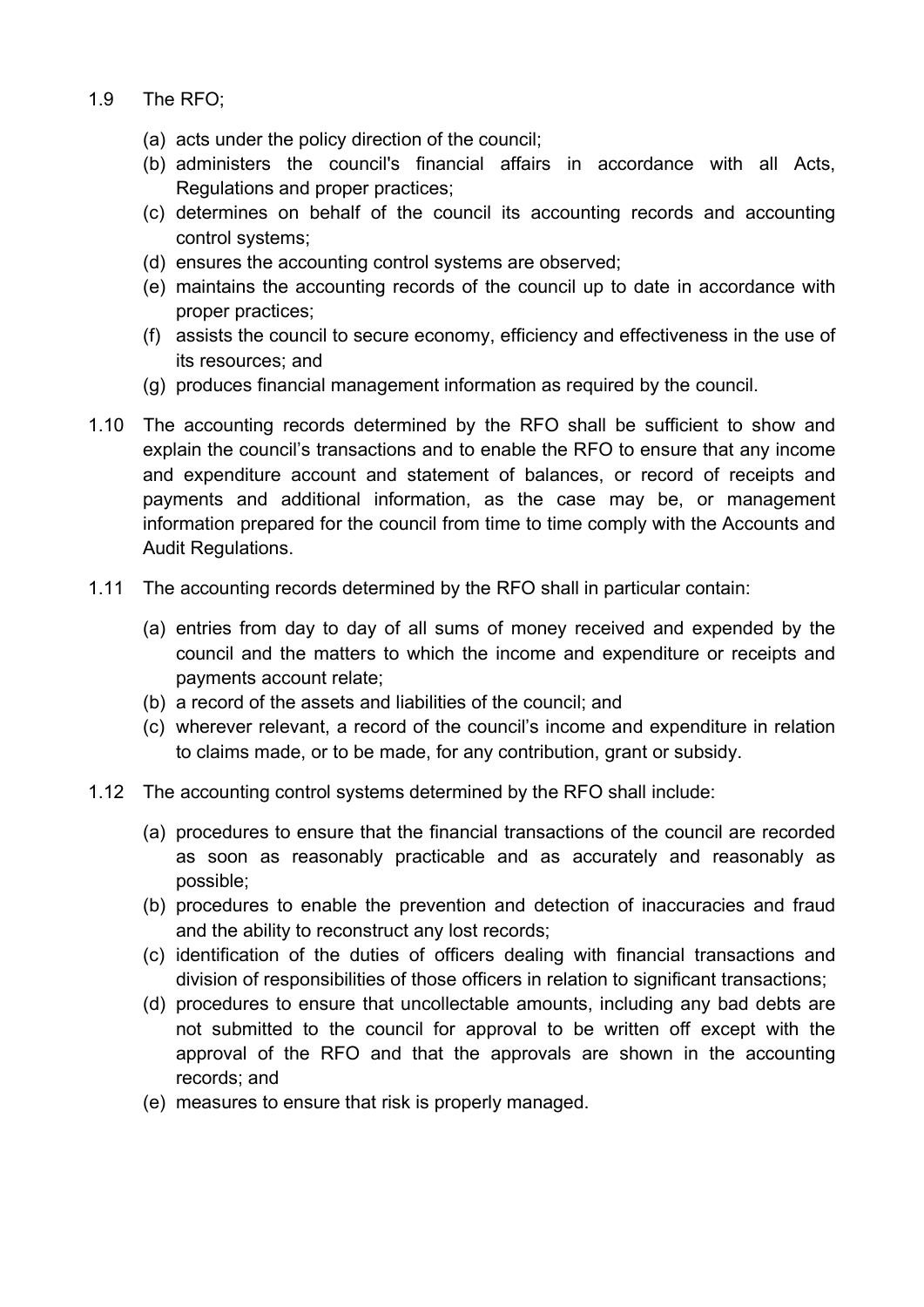- 1.9 The RFO;
	- (a) acts under the policy direction of the council;
	- (b) administers the council's financial affairs in accordance with all Acts, Regulations and proper practices;
	- (c) determines on behalf of the council its accounting records and accounting control systems;
	- (d) ensures the accounting control systems are observed;
	- (e) maintains the accounting records of the council up to date in accordance with proper practices;
	- (f) assists the council to secure economy, efficiency and effectiveness in the use of its resources; and
	- (g) produces financial management information as required by the council.
- 1.10 The accounting records determined by the RFO shall be sufficient to show and explain the council's transactions and to enable the RFO to ensure that any income and expenditure account and statement of balances, or record of receipts and payments and additional information, as the case may be, or management information prepared for the council from time to time comply with the Accounts and Audit Regulations.
- 1.11 The accounting records determined by the RFO shall in particular contain:
	- (a) entries from day to day of all sums of money received and expended by the council and the matters to which the income and expenditure or receipts and payments account relate;
	- (b) a record of the assets and liabilities of the council; and
	- (c) wherever relevant, a record of the council's income and expenditure in relation to claims made, or to be made, for any contribution, grant or subsidy.
- 1.12 The accounting control systems determined by the RFO shall include:
	- (a) procedures to ensure that the financial transactions of the council are recorded as soon as reasonably practicable and as accurately and reasonably as possible;
	- (b) procedures to enable the prevention and detection of inaccuracies and fraud and the ability to reconstruct any lost records;
	- (c) identification of the duties of officers dealing with financial transactions and division of responsibilities of those officers in relation to significant transactions;
	- (d) procedures to ensure that uncollectable amounts, including any bad debts are not submitted to the council for approval to be written off except with the approval of the RFO and that the approvals are shown in the accounting records; and
	- (e) measures to ensure that risk is properly managed.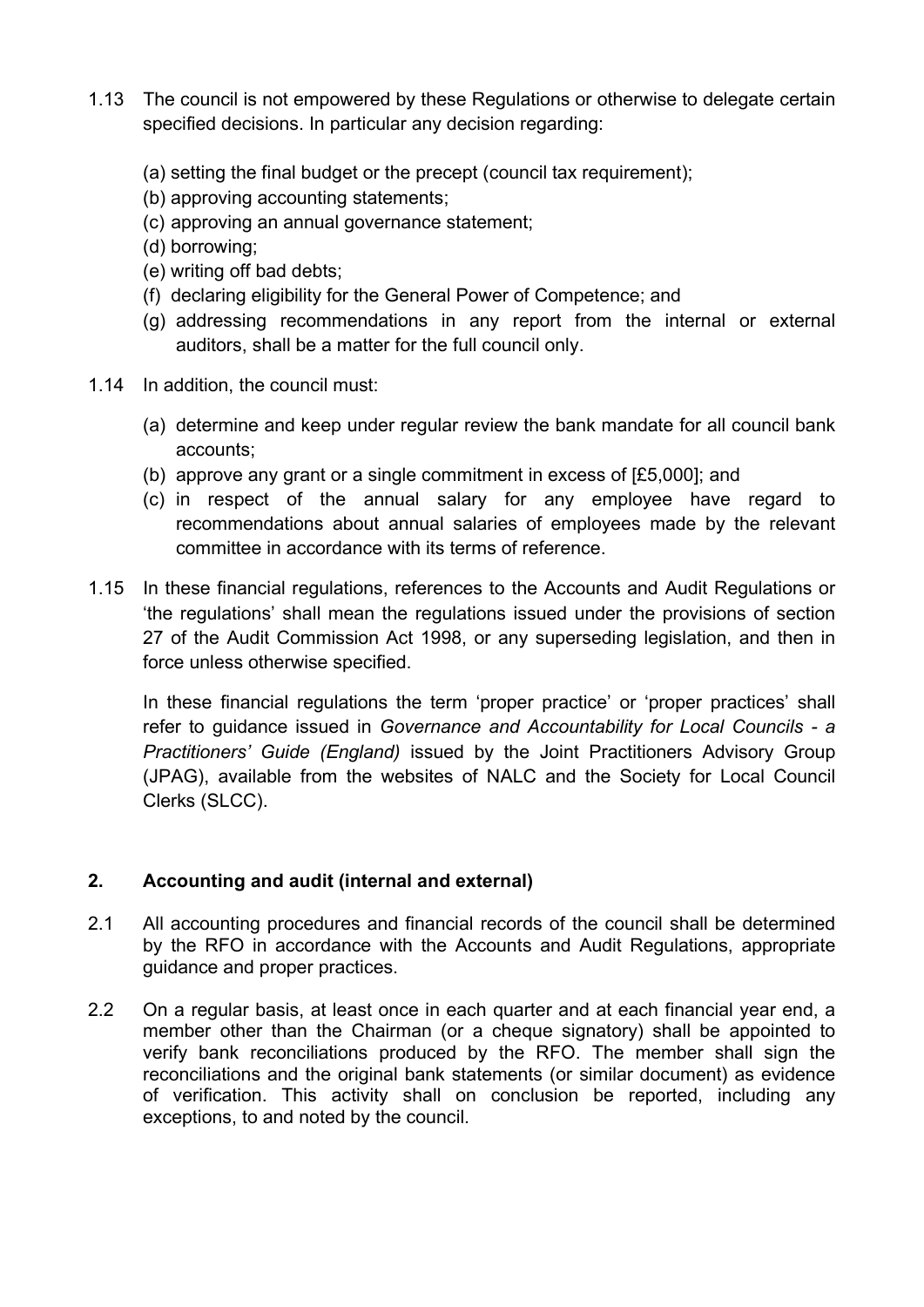- 1.13 The council is not empowered by these Regulations or otherwise to delegate certain specified decisions. In particular any decision regarding:
	- (a) setting the final budget or the precept (council tax requirement);
	- (b) approving accounting statements;
	- (c) approving an annual governance statement;
	- (d) borrowing;
	- (e) writing off bad debts;
	- (f) declaring eligibility for the General Power of Competence; and
	- (g) addressing recommendations in any report from the internal or external auditors, shall be a matter for the full council only.
- 1.14 In addition, the council must:
	- (a) determine and keep under regular review the bank mandate for all council bank accounts;
	- (b) approve any grant or a single commitment in excess of [£5,000]; and
	- (c) in respect of the annual salary for any employee have regard to recommendations about annual salaries of employees made by the relevant committee in accordance with its terms of reference.
- 1.15 In these financial regulations, references to the Accounts and Audit Regulations or 'the regulations' shall mean the regulations issued under the provisions of section 27 of the Audit Commission Act 1998, or any superseding legislation, and then in force unless otherwise specified.

In these financial regulations the term 'proper practice' or 'proper practices' shall refer to quidance issued in Governance and Accountability for Local Councils - a Practitioners' Guide (England) issued by the Joint Practitioners Advisory Group (JPAG), available from the websites of NALC and the Society for Local Council Clerks (SLCC).

# 2. Accounting and audit (internal and external)

- 2.1 All accounting procedures and financial records of the council shall be determined by the RFO in accordance with the Accounts and Audit Regulations, appropriate guidance and proper practices.
- 2.2 On a regular basis, at least once in each quarter and at each financial year end, a member other than the Chairman (or a cheque signatory) shall be appointed to verify bank reconciliations produced by the RFO. The member shall sign the reconciliations and the original bank statements (or similar document) as evidence of verification. This activity shall on conclusion be reported, including any exceptions, to and noted by the council.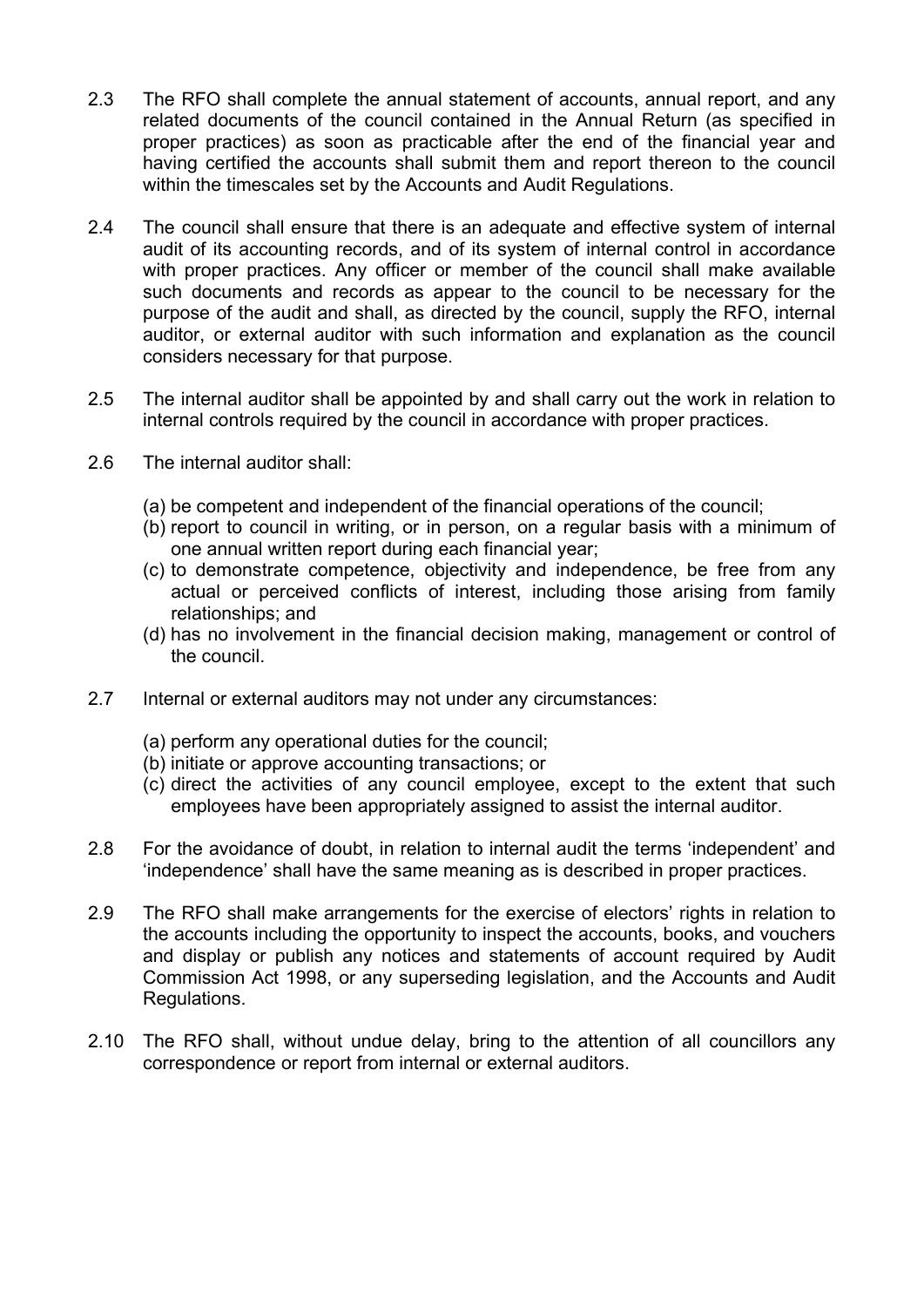- 2.3 The RFO shall complete the annual statement of accounts, annual report, and any related documents of the council contained in the Annual Return (as specified in proper practices) as soon as practicable after the end of the financial year and having certified the accounts shall submit them and report thereon to the council within the timescales set by the Accounts and Audit Regulations.
- 2.4 The council shall ensure that there is an adequate and effective system of internal audit of its accounting records, and of its system of internal control in accordance with proper practices. Any officer or member of the council shall make available such documents and records as appear to the council to be necessary for the purpose of the audit and shall, as directed by the council, supply the RFO, internal auditor, or external auditor with such information and explanation as the council considers necessary for that purpose.
- 2.5 The internal auditor shall be appointed by and shall carry out the work in relation to internal controls required by the council in accordance with proper practices.
- 2.6 The internal auditor shall:
	- (a) be competent and independent of the financial operations of the council;
	- (b) report to council in writing, or in person, on a regular basis with a minimum of one annual written report during each financial year;
	- (c) to demonstrate competence, objectivity and independence, be free from any actual or perceived conflicts of interest, including those arising from family relationships; and
	- (d) has no involvement in the financial decision making, management or control of the council.
- 2.7 Internal or external auditors may not under any circumstances:
	- (a) perform any operational duties for the council;
	- (b) initiate or approve accounting transactions; or
	- (c) direct the activities of any council employee, except to the extent that such employees have been appropriately assigned to assist the internal auditor.
- 2.8 For the avoidance of doubt, in relation to internal audit the terms 'independent' and 'independence' shall have the same meaning as is described in proper practices.
- 2.9 The RFO shall make arrangements for the exercise of electors' rights in relation to the accounts including the opportunity to inspect the accounts, books, and vouchers and display or publish any notices and statements of account required by Audit Commission Act 1998, or any superseding legislation, and the Accounts and Audit Regulations.
- 2.10 The RFO shall, without undue delay, bring to the attention of all councillors any correspondence or report from internal or external auditors.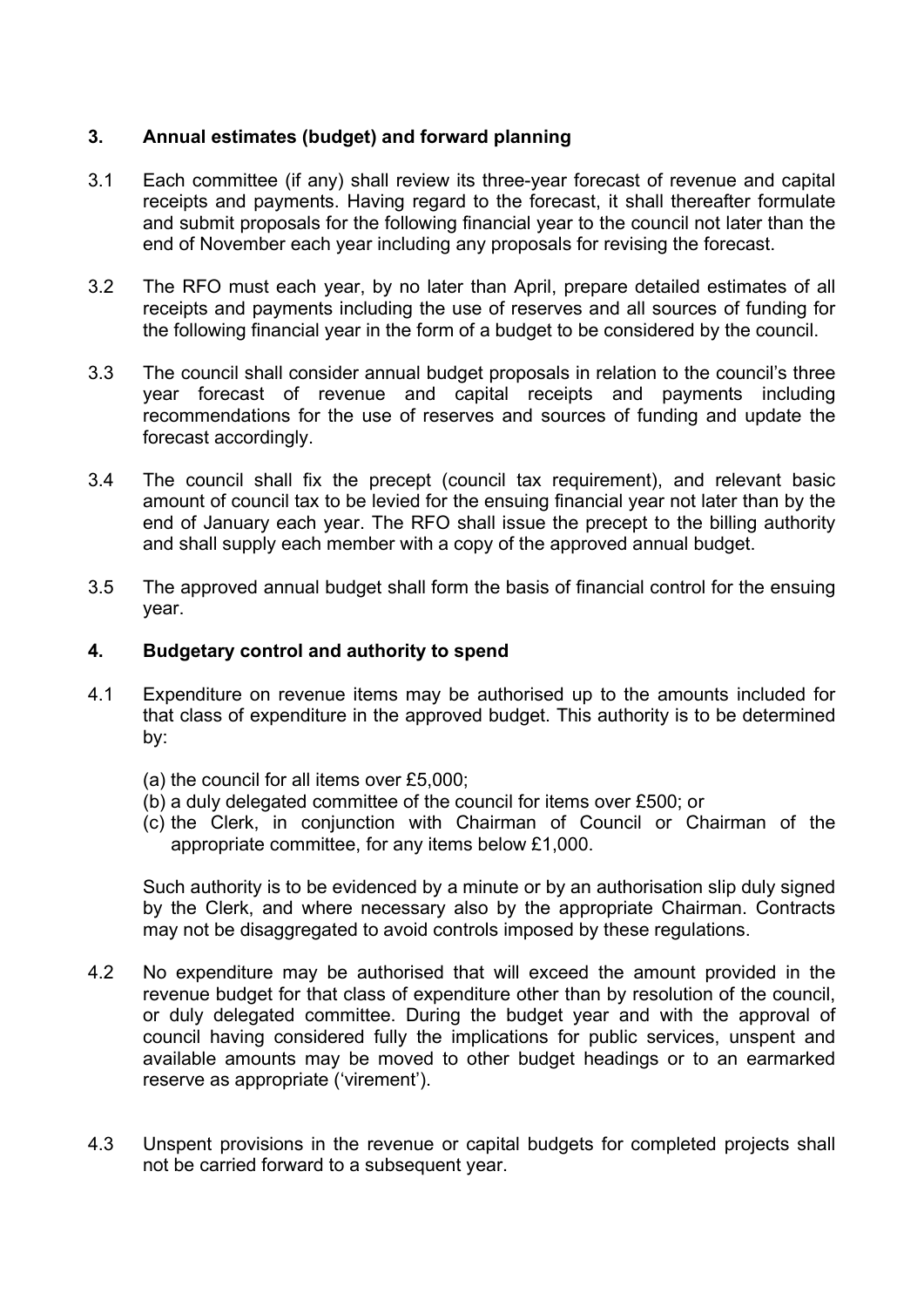# 3. Annual estimates (budget) and forward planning

- 3.1 Each committee (if any) shall review its three-year forecast of revenue and capital receipts and payments. Having regard to the forecast, it shall thereafter formulate and submit proposals for the following financial year to the council not later than the end of November each year including any proposals for revising the forecast.
- 3.2 The RFO must each year, by no later than April, prepare detailed estimates of all receipts and payments including the use of reserves and all sources of funding for the following financial year in the form of a budget to be considered by the council.
- 3.3 The council shall consider annual budget proposals in relation to the council's three year forecast of revenue and capital receipts and payments including recommendations for the use of reserves and sources of funding and update the forecast accordingly.
- 3.4 The council shall fix the precept (council tax requirement), and relevant basic amount of council tax to be levied for the ensuing financial year not later than by the end of January each year. The RFO shall issue the precept to the billing authority and shall supply each member with a copy of the approved annual budget.
- 3.5 The approved annual budget shall form the basis of financial control for the ensuing year.

## 4. Budgetary control and authority to spend

- 4.1 Expenditure on revenue items may be authorised up to the amounts included for that class of expenditure in the approved budget. This authority is to be determined by:
	- (a) the council for all items over £5,000;
	- (b) a duly delegated committee of the council for items over £500; or
	- (c) the Clerk, in conjunction with Chairman of Council or Chairman of the appropriate committee, for any items below £1,000.

Such authority is to be evidenced by a minute or by an authorisation slip duly signed by the Clerk, and where necessary also by the appropriate Chairman. Contracts may not be disaggregated to avoid controls imposed by these regulations.

- 4.2 No expenditure may be authorised that will exceed the amount provided in the revenue budget for that class of expenditure other than by resolution of the council, or duly delegated committee. During the budget year and with the approval of council having considered fully the implications for public services, unspent and available amounts may be moved to other budget headings or to an earmarked reserve as appropriate ('virement').
- 4.3 Unspent provisions in the revenue or capital budgets for completed projects shall not be carried forward to a subsequent year.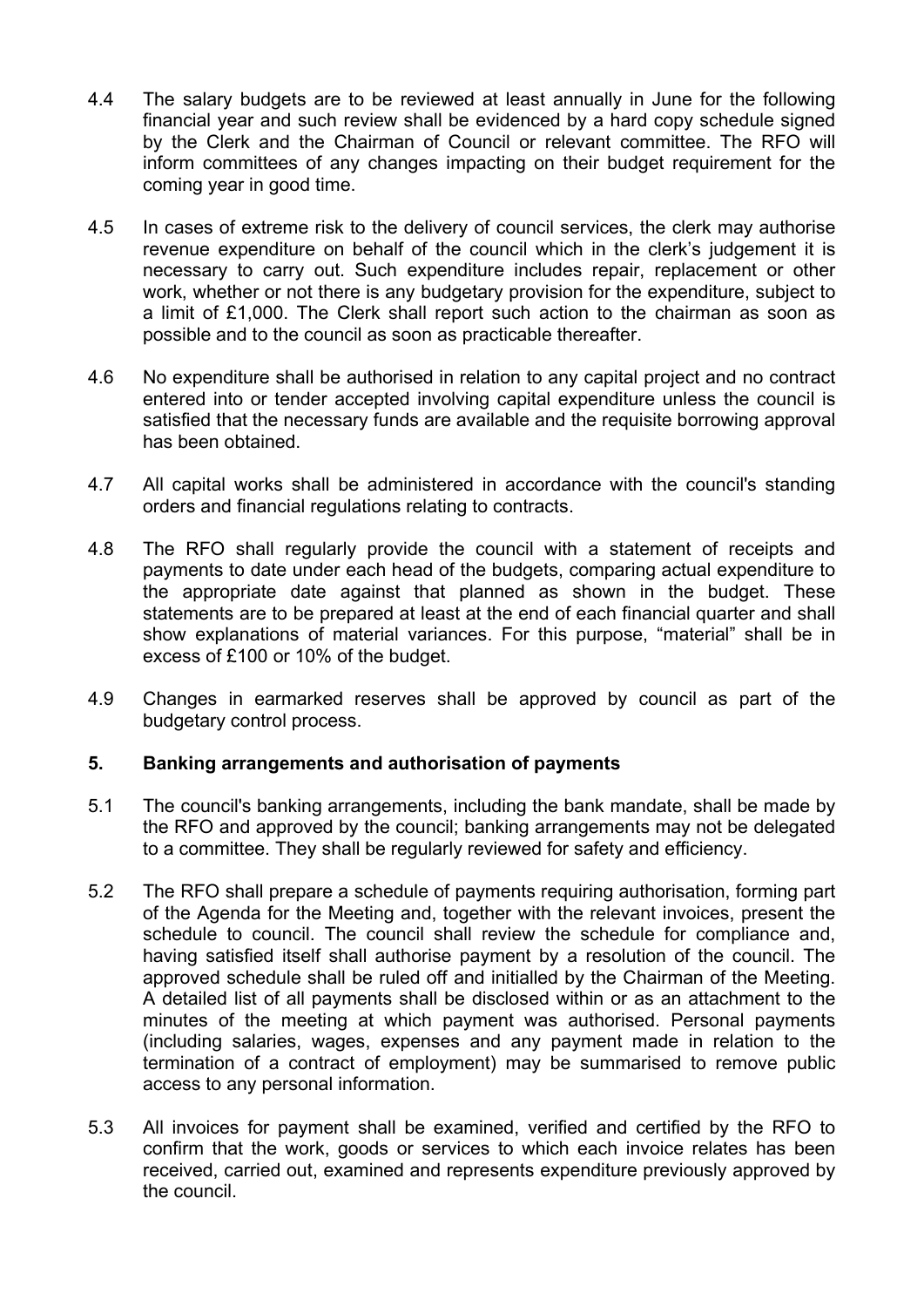- 4.4 The salary budgets are to be reviewed at least annually in June for the following financial year and such review shall be evidenced by a hard copy schedule signed by the Clerk and the Chairman of Council or relevant committee. The RFO will inform committees of any changes impacting on their budget requirement for the coming year in good time.
- 4.5 In cases of extreme risk to the delivery of council services, the clerk may authorise revenue expenditure on behalf of the council which in the clerk's judgement it is necessary to carry out. Such expenditure includes repair, replacement or other work, whether or not there is any budgetary provision for the expenditure, subject to a limit of £1,000. The Clerk shall report such action to the chairman as soon as possible and to the council as soon as practicable thereafter.
- 4.6 No expenditure shall be authorised in relation to any capital project and no contract entered into or tender accepted involving capital expenditure unless the council is satisfied that the necessary funds are available and the requisite borrowing approval has been obtained.
- 4.7 All capital works shall be administered in accordance with the council's standing orders and financial regulations relating to contracts.
- 4.8 The RFO shall regularly provide the council with a statement of receipts and payments to date under each head of the budgets, comparing actual expenditure to the appropriate date against that planned as shown in the budget. These statements are to be prepared at least at the end of each financial quarter and shall show explanations of material variances. For this purpose, "material" shall be in excess of £100 or 10% of the budget.
- 4.9 Changes in earmarked reserves shall be approved by council as part of the budgetary control process.

## 5. Banking arrangements and authorisation of payments

- 5.1 The council's banking arrangements, including the bank mandate, shall be made by the RFO and approved by the council; banking arrangements may not be delegated to a committee. They shall be regularly reviewed for safety and efficiency.
- 5.2 The RFO shall prepare a schedule of payments requiring authorisation, forming part of the Agenda for the Meeting and, together with the relevant invoices, present the schedule to council. The council shall review the schedule for compliance and, having satisfied itself shall authorise payment by a resolution of the council. The approved schedule shall be ruled off and initialled by the Chairman of the Meeting. A detailed list of all payments shall be disclosed within or as an attachment to the minutes of the meeting at which payment was authorised. Personal payments (including salaries, wages, expenses and any payment made in relation to the termination of a contract of employment) may be summarised to remove public access to any personal information.
- 5.3 All invoices for payment shall be examined, verified and certified by the RFO to confirm that the work, goods or services to which each invoice relates has been received, carried out, examined and represents expenditure previously approved by the council.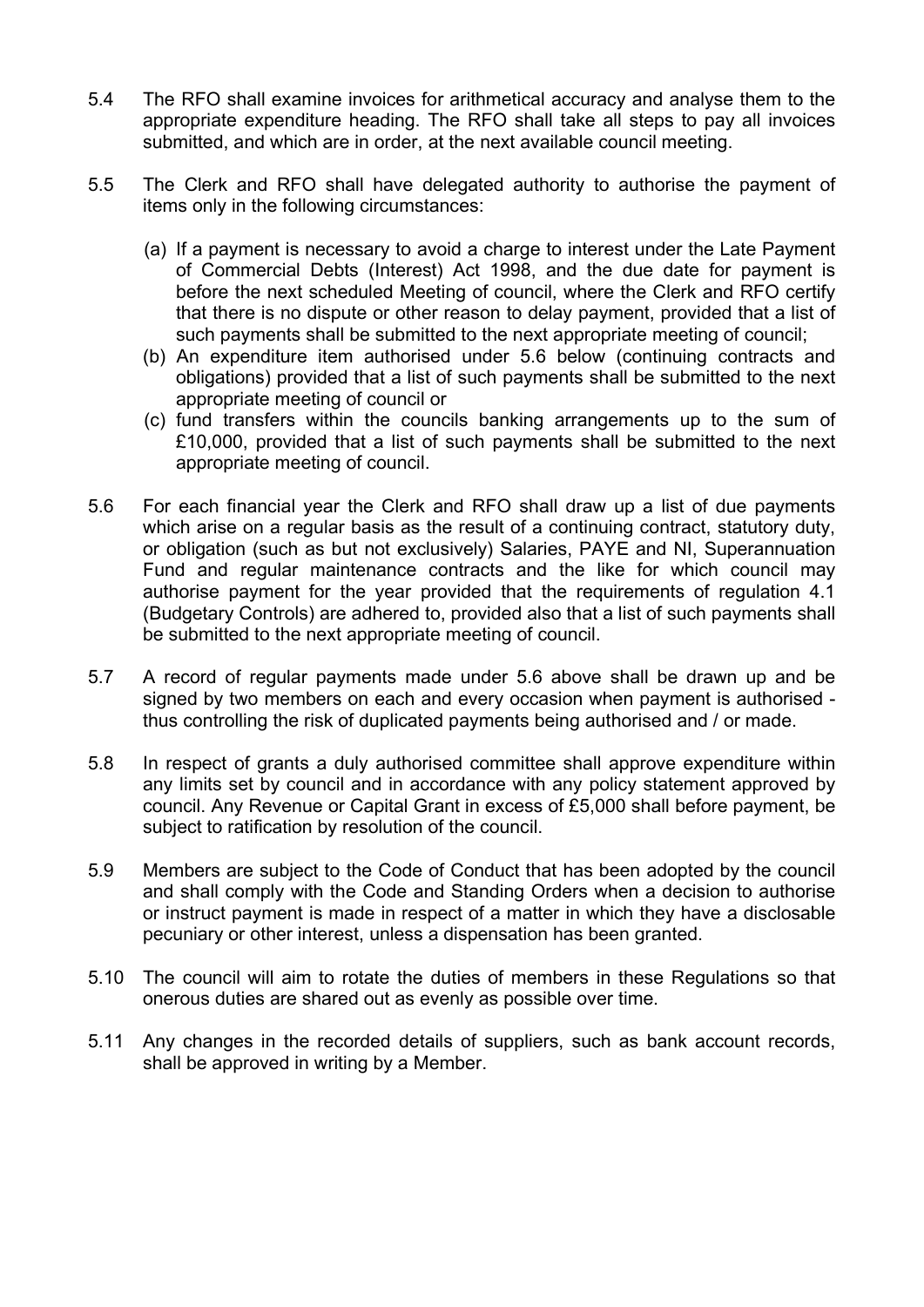- 5.4 The RFO shall examine invoices for arithmetical accuracy and analyse them to the appropriate expenditure heading. The RFO shall take all steps to pay all invoices submitted, and which are in order, at the next available council meeting.
- 5.5 The Clerk and RFO shall have delegated authority to authorise the payment of items only in the following circumstances:
	- (a) If a payment is necessary to avoid a charge to interest under the Late Payment of Commercial Debts (Interest) Act 1998, and the due date for payment is before the next scheduled Meeting of council, where the Clerk and RFO certify that there is no dispute or other reason to delay payment, provided that a list of such payments shall be submitted to the next appropriate meeting of council;
	- (b) An expenditure item authorised under 5.6 below (continuing contracts and obligations) provided that a list of such payments shall be submitted to the next appropriate meeting of council or
	- (c) fund transfers within the councils banking arrangements up to the sum of £10,000, provided that a list of such payments shall be submitted to the next appropriate meeting of council.
- 5.6 For each financial year the Clerk and RFO shall draw up a list of due payments which arise on a regular basis as the result of a continuing contract, statutory duty, or obligation (such as but not exclusively) Salaries, PAYE and NI, Superannuation Fund and regular maintenance contracts and the like for which council may authorise payment for the year provided that the requirements of regulation 4.1 (Budgetary Controls) are adhered to, provided also that a list of such payments shall be submitted to the next appropriate meeting of council.
- 5.7 A record of regular payments made under 5.6 above shall be drawn up and be signed by two members on each and every occasion when payment is authorised thus controlling the risk of duplicated payments being authorised and / or made.
- 5.8 In respect of grants a duly authorised committee shall approve expenditure within any limits set by council and in accordance with any policy statement approved by council. Any Revenue or Capital Grant in excess of £5,000 shall before payment, be subject to ratification by resolution of the council.
- 5.9 Members are subject to the Code of Conduct that has been adopted by the council and shall comply with the Code and Standing Orders when a decision to authorise or instruct payment is made in respect of a matter in which they have a disclosable pecuniary or other interest, unless a dispensation has been granted.
- 5.10 The council will aim to rotate the duties of members in these Regulations so that onerous duties are shared out as evenly as possible over time.
- 5.11 Any changes in the recorded details of suppliers, such as bank account records, shall be approved in writing by a Member.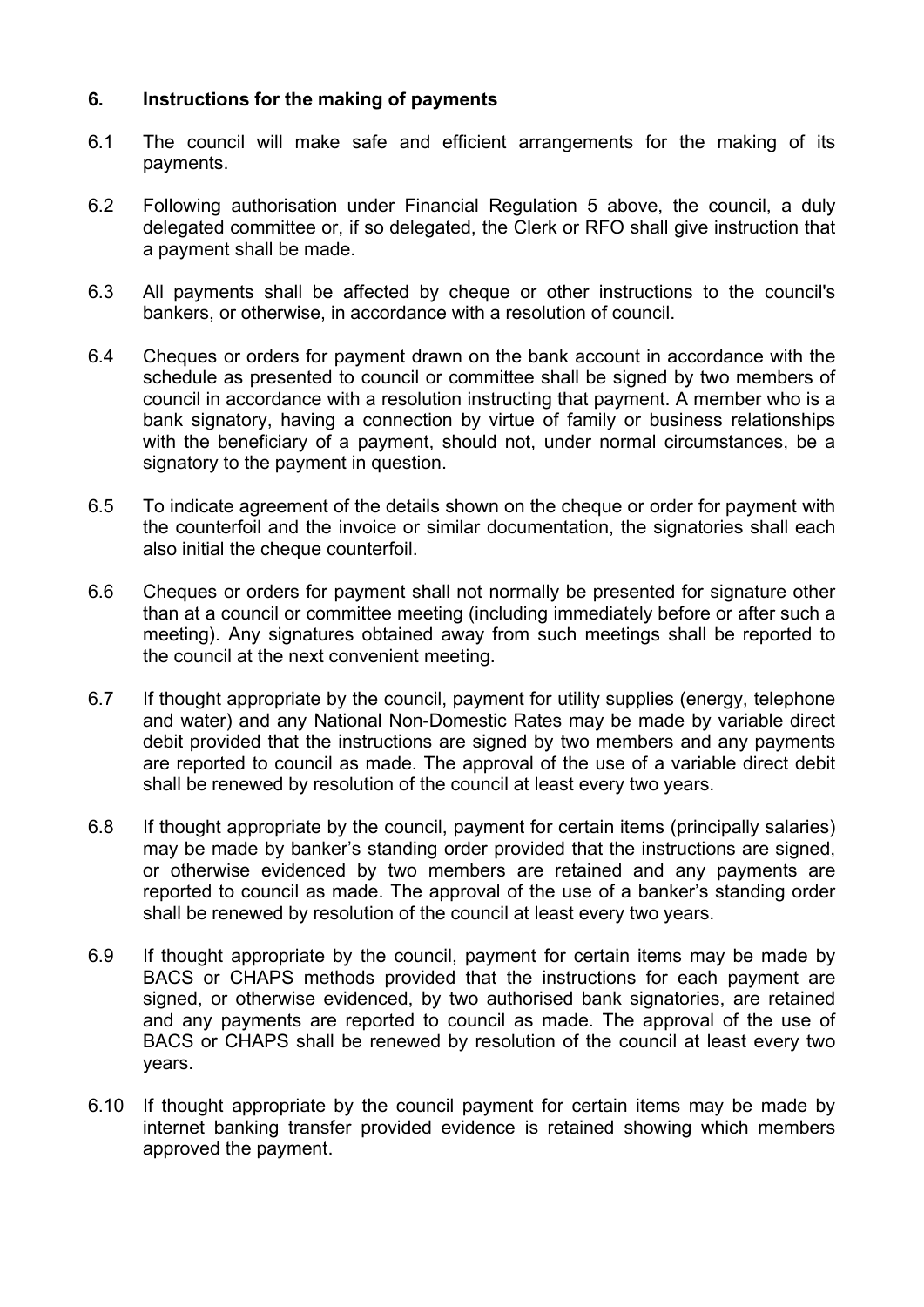# 6. Instructions for the making of payments

- 6.1 The council will make safe and efficient arrangements for the making of its payments.
- 6.2 Following authorisation under Financial Regulation 5 above, the council, a duly delegated committee or, if so delegated, the Clerk or RFO shall give instruction that a payment shall be made.
- 6.3 All payments shall be affected by cheque or other instructions to the council's bankers, or otherwise, in accordance with a resolution of council.
- 6.4 Cheques or orders for payment drawn on the bank account in accordance with the schedule as presented to council or committee shall be signed by two members of council in accordance with a resolution instructing that payment. A member who is a bank signatory, having a connection by virtue of family or business relationships with the beneficiary of a payment, should not, under normal circumstances, be a signatory to the payment in question.
- 6.5 To indicate agreement of the details shown on the cheque or order for payment with the counterfoil and the invoice or similar documentation, the signatories shall each also initial the cheque counterfoil.
- 6.6 Cheques or orders for payment shall not normally be presented for signature other than at a council or committee meeting (including immediately before or after such a meeting). Any signatures obtained away from such meetings shall be reported to the council at the next convenient meeting.
- 6.7 If thought appropriate by the council, payment for utility supplies (energy, telephone and water) and any National Non-Domestic Rates may be made by variable direct debit provided that the instructions are signed by two members and any payments are reported to council as made. The approval of the use of a variable direct debit shall be renewed by resolution of the council at least every two years.
- 6.8 If thought appropriate by the council, payment for certain items (principally salaries) may be made by banker's standing order provided that the instructions are signed, or otherwise evidenced by two members are retained and any payments are reported to council as made. The approval of the use of a banker's standing order shall be renewed by resolution of the council at least every two years.
- 6.9 If thought appropriate by the council, payment for certain items may be made by BACS or CHAPS methods provided that the instructions for each payment are signed, or otherwise evidenced, by two authorised bank signatories, are retained and any payments are reported to council as made. The approval of the use of BACS or CHAPS shall be renewed by resolution of the council at least every two years.
- 6.10 If thought appropriate by the council payment for certain items may be made by internet banking transfer provided evidence is retained showing which members approved the payment.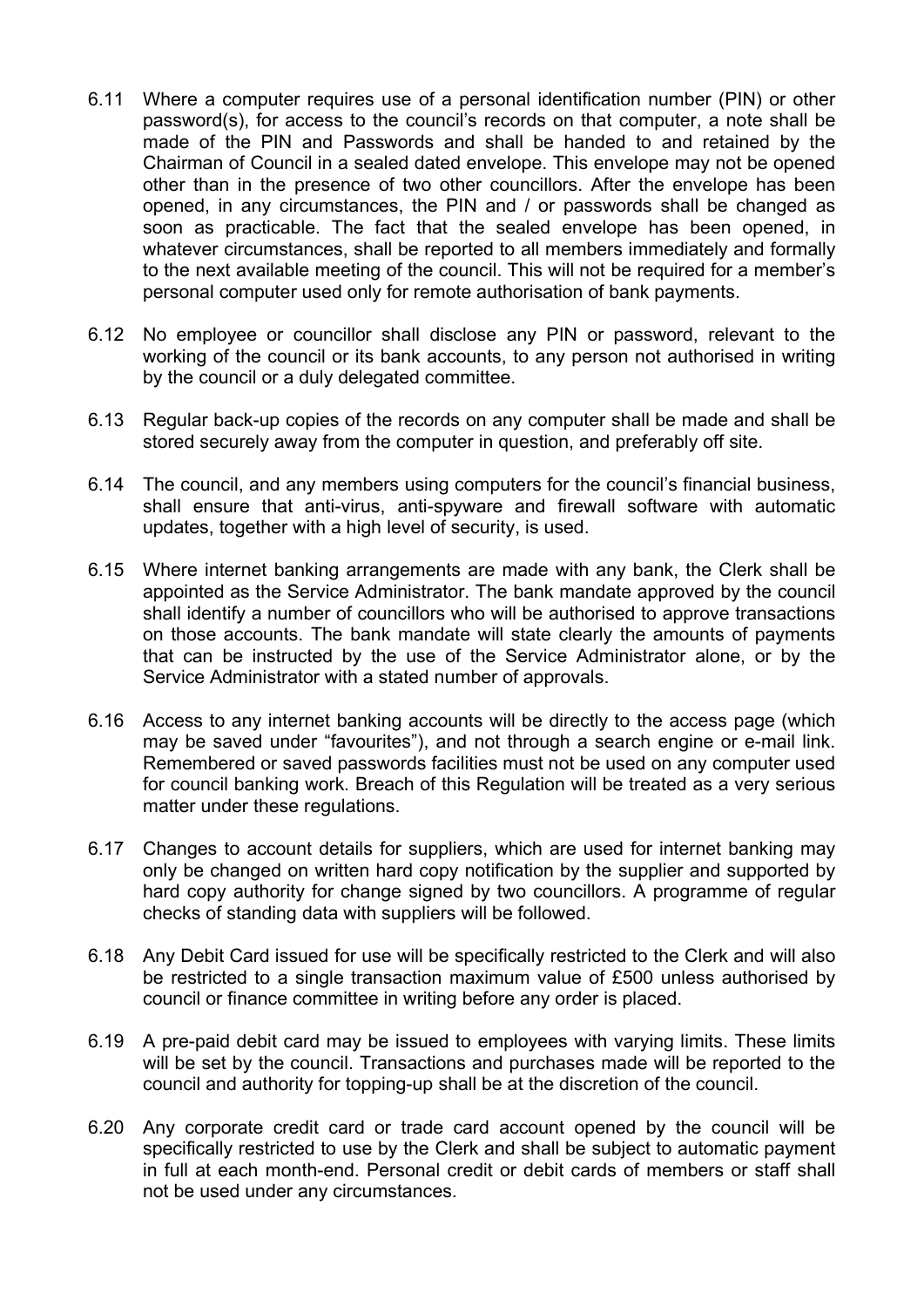- 6.11 Where a computer requires use of a personal identification number (PIN) or other password(s), for access to the council's records on that computer, a note shall be made of the PIN and Passwords and shall be handed to and retained by the Chairman of Council in a sealed dated envelope. This envelope may not be opened other than in the presence of two other councillors. After the envelope has been opened, in any circumstances, the PIN and / or passwords shall be changed as soon as practicable. The fact that the sealed envelope has been opened, in whatever circumstances, shall be reported to all members immediately and formally to the next available meeting of the council. This will not be required for a member's personal computer used only for remote authorisation of bank payments.
- 6.12 No employee or councillor shall disclose any PIN or password, relevant to the working of the council or its bank accounts, to any person not authorised in writing by the council or a duly delegated committee.
- 6.13 Regular back-up copies of the records on any computer shall be made and shall be stored securely away from the computer in question, and preferably off site.
- 6.14 The council, and any members using computers for the council's financial business, shall ensure that anti-virus, anti-spyware and firewall software with automatic updates, together with a high level of security, is used.
- 6.15 Where internet banking arrangements are made with any bank, the Clerk shall be appointed as the Service Administrator. The bank mandate approved by the council shall identify a number of councillors who will be authorised to approve transactions on those accounts. The bank mandate will state clearly the amounts of payments that can be instructed by the use of the Service Administrator alone, or by the Service Administrator with a stated number of approvals.
- 6.16 Access to any internet banking accounts will be directly to the access page (which may be saved under "favourites"), and not through a search engine or e-mail link. Remembered or saved passwords facilities must not be used on any computer used for council banking work. Breach of this Regulation will be treated as a very serious matter under these regulations.
- 6.17 Changes to account details for suppliers, which are used for internet banking may only be changed on written hard copy notification by the supplier and supported by hard copy authority for change signed by two councillors. A programme of regular checks of standing data with suppliers will be followed.
- 6.18 Any Debit Card issued for use will be specifically restricted to the Clerk and will also be restricted to a single transaction maximum value of £500 unless authorised by council or finance committee in writing before any order is placed.
- 6.19 A pre-paid debit card may be issued to employees with varying limits. These limits will be set by the council. Transactions and purchases made will be reported to the council and authority for topping-up shall be at the discretion of the council.
- 6.20 Any corporate credit card or trade card account opened by the council will be specifically restricted to use by the Clerk and shall be subject to automatic payment in full at each month-end. Personal credit or debit cards of members or staff shall not be used under any circumstances.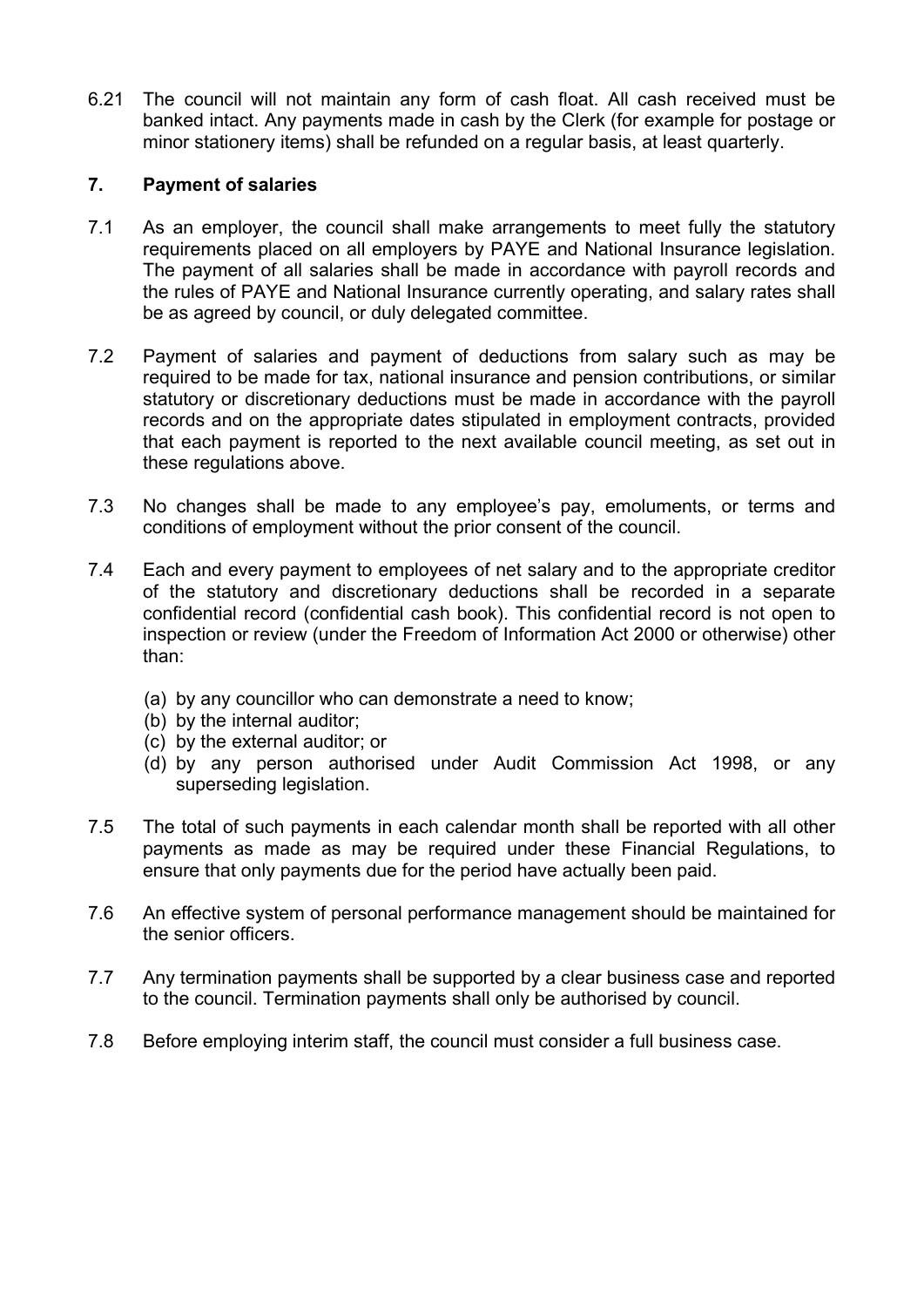6.21 The council will not maintain any form of cash float. All cash received must be banked intact. Any payments made in cash by the Clerk (for example for postage or minor stationery items) shall be refunded on a regular basis, at least quarterly.

# 7. Payment of salaries

- 7.1 As an employer, the council shall make arrangements to meet fully the statutory requirements placed on all employers by PAYE and National Insurance legislation. The payment of all salaries shall be made in accordance with payroll records and the rules of PAYE and National Insurance currently operating, and salary rates shall be as agreed by council, or duly delegated committee.
- 7.2 Payment of salaries and payment of deductions from salary such as may be required to be made for tax, national insurance and pension contributions, or similar statutory or discretionary deductions must be made in accordance with the payroll records and on the appropriate dates stipulated in employment contracts, provided that each payment is reported to the next available council meeting, as set out in these regulations above.
- 7.3 No changes shall be made to any employee's pay, emoluments, or terms and conditions of employment without the prior consent of the council.
- 7.4 Each and every payment to employees of net salary and to the appropriate creditor of the statutory and discretionary deductions shall be recorded in a separate confidential record (confidential cash book). This confidential record is not open to inspection or review (under the Freedom of Information Act 2000 or otherwise) other than:
	- (a) by any councillor who can demonstrate a need to know;
	- (b) by the internal auditor;
	- (c) by the external auditor; or
	- (d) by any person authorised under Audit Commission Act 1998, or any superseding legislation.
- 7.5 The total of such payments in each calendar month shall be reported with all other payments as made as may be required under these Financial Regulations, to ensure that only payments due for the period have actually been paid.
- 7.6 An effective system of personal performance management should be maintained for the senior officers.
- 7.7 Any termination payments shall be supported by a clear business case and reported to the council. Termination payments shall only be authorised by council.
- 7.8 Before employing interim staff, the council must consider a full business case.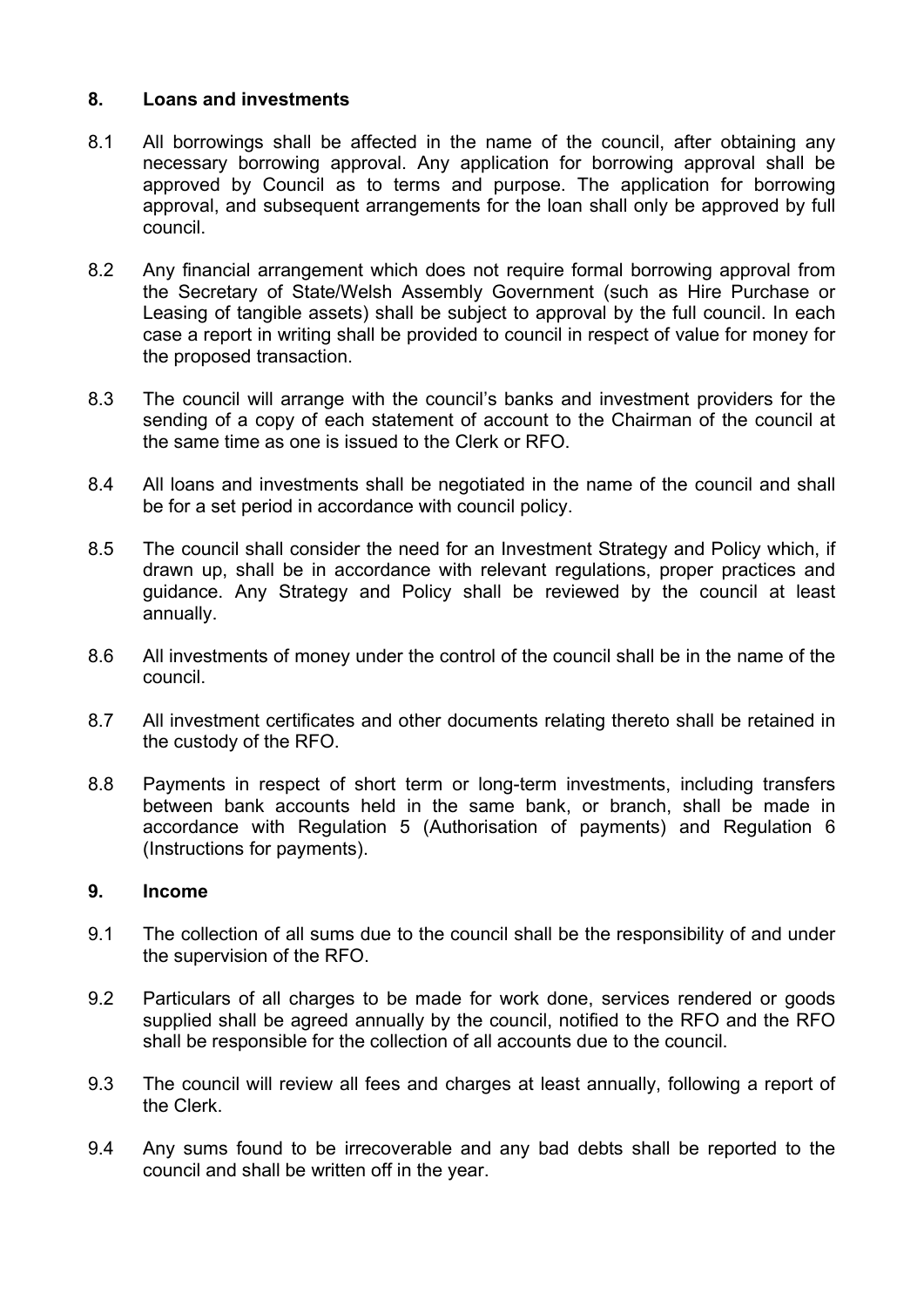## 8. Loans and investments

- 8.1 All borrowings shall be affected in the name of the council, after obtaining any necessary borrowing approval. Any application for borrowing approval shall be approved by Council as to terms and purpose. The application for borrowing approval, and subsequent arrangements for the loan shall only be approved by full council.
- 8.2 Any financial arrangement which does not require formal borrowing approval from the Secretary of State/Welsh Assembly Government (such as Hire Purchase or Leasing of tangible assets) shall be subject to approval by the full council. In each case a report in writing shall be provided to council in respect of value for money for the proposed transaction.
- 8.3 The council will arrange with the council's banks and investment providers for the sending of a copy of each statement of account to the Chairman of the council at the same time as one is issued to the Clerk or RFO.
- 8.4 All loans and investments shall be negotiated in the name of the council and shall be for a set period in accordance with council policy.
- 8.5 The council shall consider the need for an Investment Strategy and Policy which, if drawn up, shall be in accordance with relevant regulations, proper practices and guidance. Any Strategy and Policy shall be reviewed by the council at least annually.
- 8.6 All investments of money under the control of the council shall be in the name of the council.
- 8.7 All investment certificates and other documents relating thereto shall be retained in the custody of the RFO.
- 8.8 Payments in respect of short term or long-term investments, including transfers between bank accounts held in the same bank, or branch, shall be made in accordance with Regulation 5 (Authorisation of payments) and Regulation 6 (Instructions for payments).

## 9. Income

- 9.1 The collection of all sums due to the council shall be the responsibility of and under the supervision of the RFO.
- 9.2 Particulars of all charges to be made for work done, services rendered or goods supplied shall be agreed annually by the council, notified to the RFO and the RFO shall be responsible for the collection of all accounts due to the council.
- 9.3 The council will review all fees and charges at least annually, following a report of the Clerk.
- 9.4 Any sums found to be irrecoverable and any bad debts shall be reported to the council and shall be written off in the year.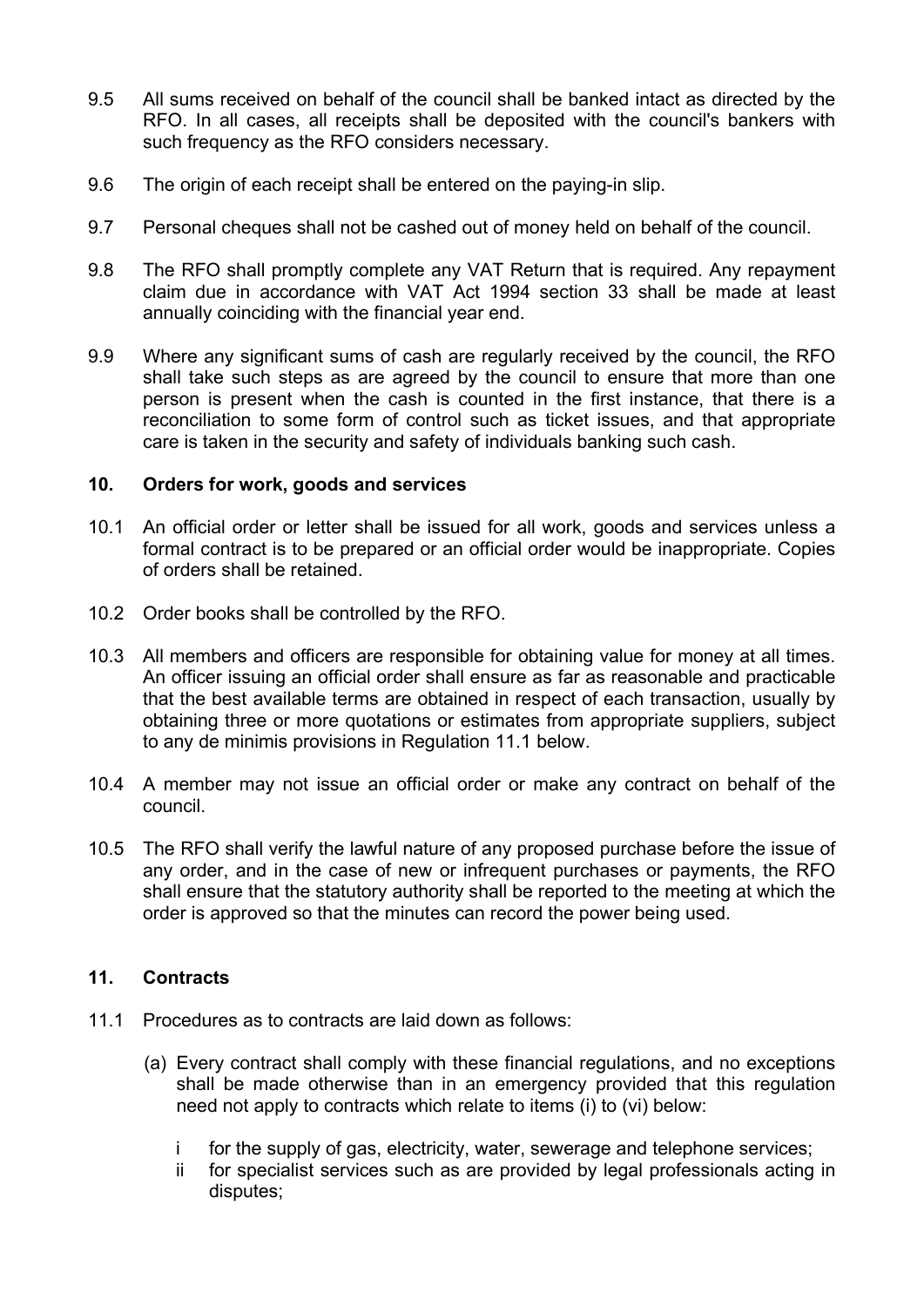- 9.5 All sums received on behalf of the council shall be banked intact as directed by the RFO. In all cases, all receipts shall be deposited with the council's bankers with such frequency as the RFO considers necessary.
- 9.6 The origin of each receipt shall be entered on the paying-in slip.
- 9.7 Personal cheques shall not be cashed out of money held on behalf of the council.
- 9.8 The RFO shall promptly complete any VAT Return that is required. Any repayment claim due in accordance with VAT Act 1994 section 33 shall be made at least annually coinciding with the financial year end.
- 9.9 Where any significant sums of cash are regularly received by the council, the RFO shall take such steps as are agreed by the council to ensure that more than one person is present when the cash is counted in the first instance, that there is a reconciliation to some form of control such as ticket issues, and that appropriate care is taken in the security and safety of individuals banking such cash.

#### 10. Orders for work, goods and services

- 10.1 An official order or letter shall be issued for all work, goods and services unless a formal contract is to be prepared or an official order would be inappropriate. Copies of orders shall be retained.
- 10.2 Order books shall be controlled by the RFO.
- 10.3 All members and officers are responsible for obtaining value for money at all times. An officer issuing an official order shall ensure as far as reasonable and practicable that the best available terms are obtained in respect of each transaction, usually by obtaining three or more quotations or estimates from appropriate suppliers, subject to any de minimis provisions in Regulation 11.1 below.
- 10.4 A member may not issue an official order or make any contract on behalf of the council.
- 10.5 The RFO shall verify the lawful nature of any proposed purchase before the issue of any order, and in the case of new or infrequent purchases or payments, the RFO shall ensure that the statutory authority shall be reported to the meeting at which the order is approved so that the minutes can record the power being used.

## 11. Contracts

- 11.1 Procedures as to contracts are laid down as follows:
	- (a) Every contract shall comply with these financial regulations, and no exceptions shall be made otherwise than in an emergency provided that this regulation need not apply to contracts which relate to items (i) to (vi) below:
		- i for the supply of gas, electricity, water, sewerage and telephone services;
		- ii for specialist services such as are provided by legal professionals acting in disputes;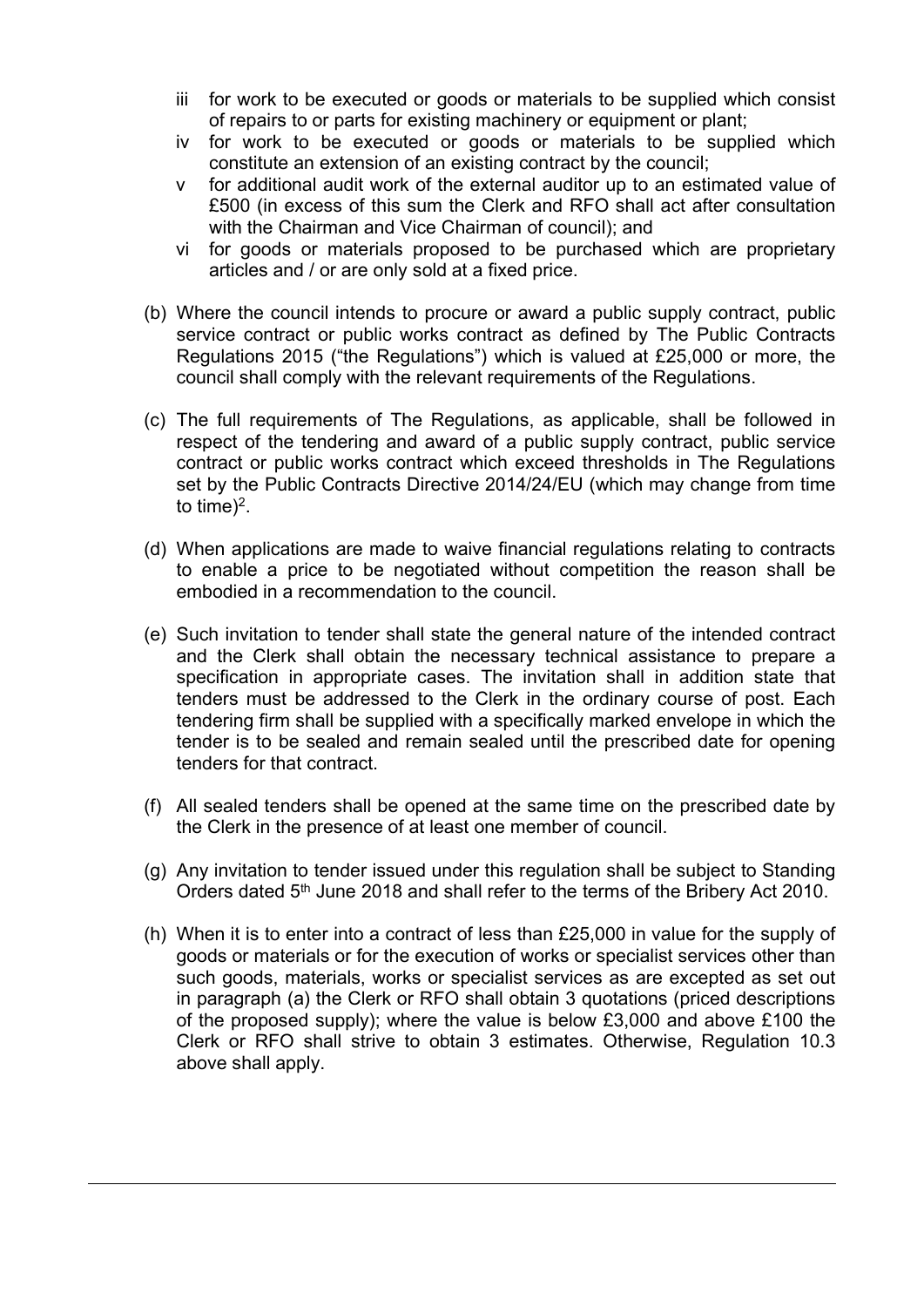- iii for work to be executed or goods or materials to be supplied which consist of repairs to or parts for existing machinery or equipment or plant;
- iv for work to be executed or goods or materials to be supplied which constitute an extension of an existing contract by the council;
- v for additional audit work of the external auditor up to an estimated value of £500 (in excess of this sum the Clerk and RFO shall act after consultation with the Chairman and Vice Chairman of council); and
- vi for goods or materials proposed to be purchased which are proprietary articles and / or are only sold at a fixed price.
- (b) Where the council intends to procure or award a public supply contract, public service contract or public works contract as defined by The Public Contracts Regulations 2015 ("the Regulations") which is valued at £25,000 or more, the council shall comply with the relevant requirements of the Regulations.
- (c) The full requirements of The Regulations, as applicable, shall be followed in respect of the tendering and award of a public supply contract, public service contract or public works contract which exceed thresholds in The Regulations set by the Public Contracts Directive 2014/24/EU (which may change from time to time)<sup>2</sup>.
- (d) When applications are made to waive financial regulations relating to contracts to enable a price to be negotiated without competition the reason shall be embodied in a recommendation to the council.
- (e) Such invitation to tender shall state the general nature of the intended contract and the Clerk shall obtain the necessary technical assistance to prepare a specification in appropriate cases. The invitation shall in addition state that tenders must be addressed to the Clerk in the ordinary course of post. Each tendering firm shall be supplied with a specifically marked envelope in which the tender is to be sealed and remain sealed until the prescribed date for opening tenders for that contract.
- (f) All sealed tenders shall be opened at the same time on the prescribed date by the Clerk in the presence of at least one member of council.
- (g) Any invitation to tender issued under this regulation shall be subject to Standing Orders dated 5<sup>th</sup> June 2018 and shall refer to the terms of the Bribery Act 2010.
- (h) When it is to enter into a contract of less than £25,000 in value for the supply of goods or materials or for the execution of works or specialist services other than such goods, materials, works or specialist services as are excepted as set out in paragraph (a) the Clerk or RFO shall obtain 3 quotations (priced descriptions of the proposed supply); where the value is below £3,000 and above £100 the Clerk or RFO shall strive to obtain 3 estimates. Otherwise, Regulation 10.3 above shall apply.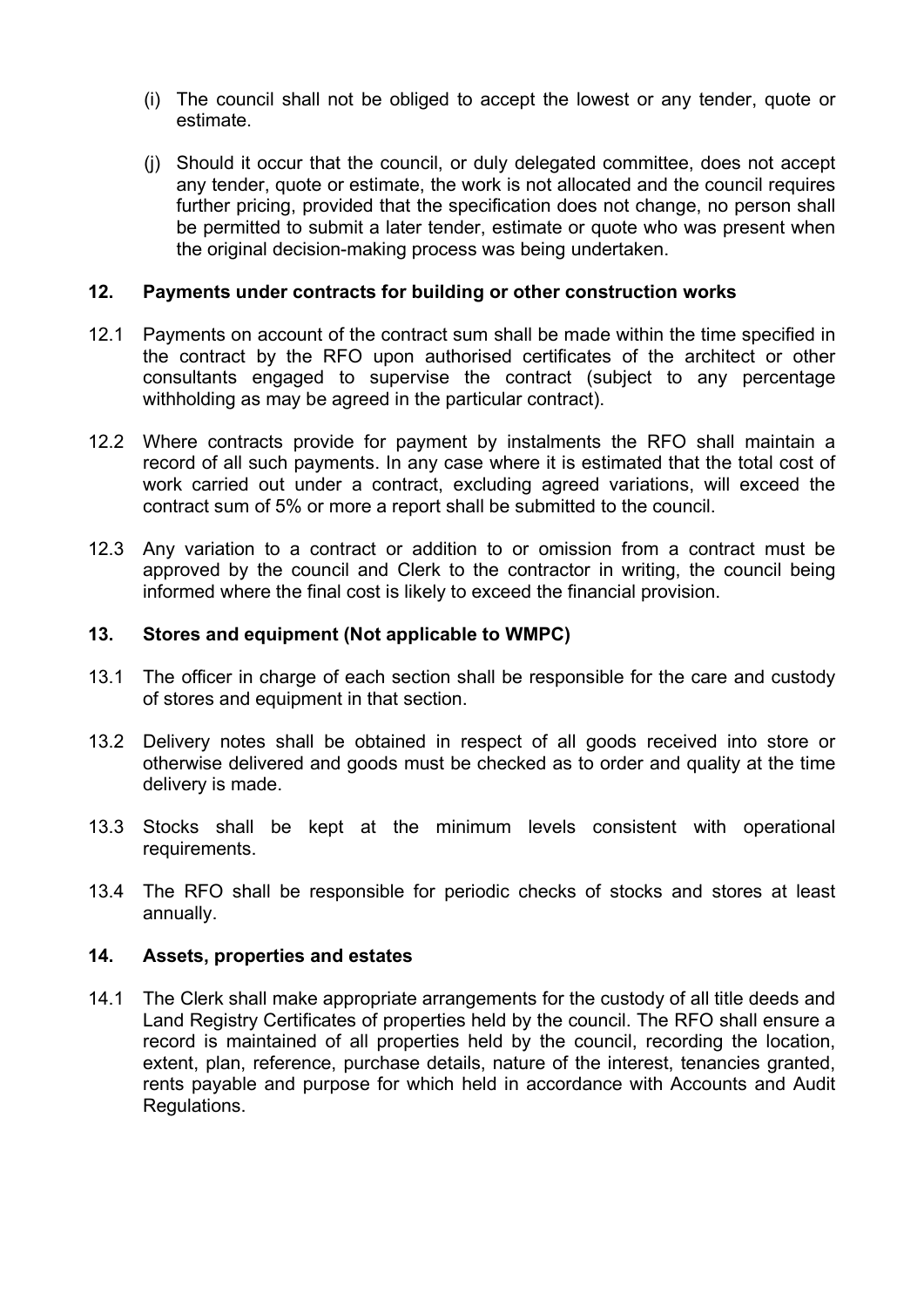- (i) The council shall not be obliged to accept the lowest or any tender, quote or estimate.
- (j) Should it occur that the council, or duly delegated committee, does not accept any tender, quote or estimate, the work is not allocated and the council requires further pricing, provided that the specification does not change, no person shall be permitted to submit a later tender, estimate or quote who was present when the original decision-making process was being undertaken.

## 12. Payments under contracts for building or other construction works

- 12.1 Payments on account of the contract sum shall be made within the time specified in the contract by the RFO upon authorised certificates of the architect or other consultants engaged to supervise the contract (subject to any percentage withholding as may be agreed in the particular contract).
- 12.2 Where contracts provide for payment by instalments the RFO shall maintain a record of all such payments. In any case where it is estimated that the total cost of work carried out under a contract, excluding agreed variations, will exceed the contract sum of 5% or more a report shall be submitted to the council.
- 12.3 Any variation to a contract or addition to or omission from a contract must be approved by the council and Clerk to the contractor in writing, the council being informed where the final cost is likely to exceed the financial provision.

# 13. Stores and equipment (Not applicable to WMPC)

- 13.1 The officer in charge of each section shall be responsible for the care and custody of stores and equipment in that section.
- 13.2 Delivery notes shall be obtained in respect of all goods received into store or otherwise delivered and goods must be checked as to order and quality at the time delivery is made.
- 13.3 Stocks shall be kept at the minimum levels consistent with operational requirements.
- 13.4 The RFO shall be responsible for periodic checks of stocks and stores at least annually.

## 14. Assets, properties and estates

14.1 The Clerk shall make appropriate arrangements for the custody of all title deeds and Land Registry Certificates of properties held by the council. The RFO shall ensure a record is maintained of all properties held by the council, recording the location, extent, plan, reference, purchase details, nature of the interest, tenancies granted, rents payable and purpose for which held in accordance with Accounts and Audit Regulations.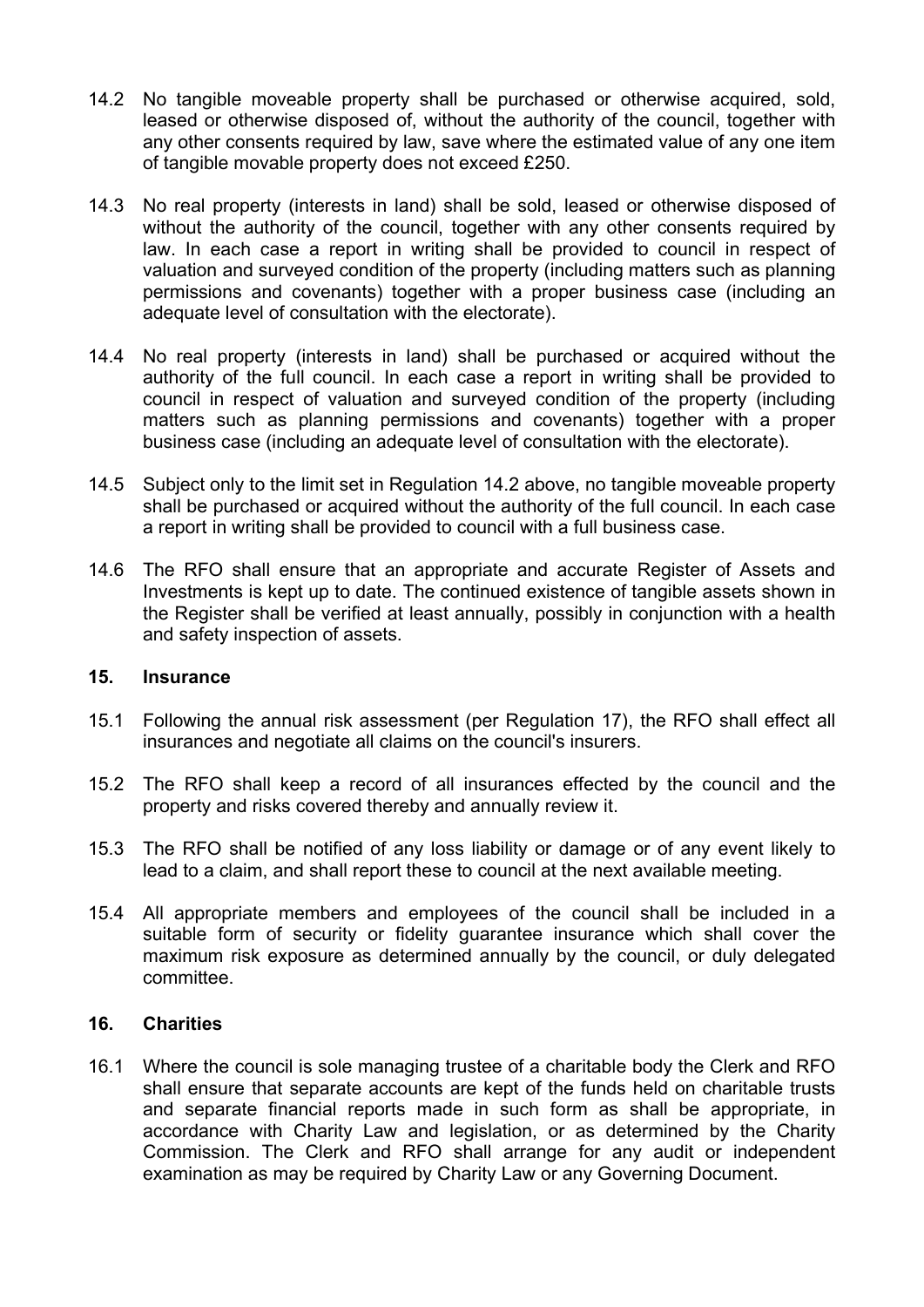- 14.2 No tangible moveable property shall be purchased or otherwise acquired, sold, leased or otherwise disposed of, without the authority of the council, together with any other consents required by law, save where the estimated value of any one item of tangible movable property does not exceed £250.
- 14.3 No real property (interests in land) shall be sold, leased or otherwise disposed of without the authority of the council, together with any other consents required by law. In each case a report in writing shall be provided to council in respect of valuation and surveyed condition of the property (including matters such as planning permissions and covenants) together with a proper business case (including an adequate level of consultation with the electorate).
- 14.4 No real property (interests in land) shall be purchased or acquired without the authority of the full council. In each case a report in writing shall be provided to council in respect of valuation and surveyed condition of the property (including matters such as planning permissions and covenants) together with a proper business case (including an adequate level of consultation with the electorate).
- 14.5 Subject only to the limit set in Regulation 14.2 above, no tangible moveable property shall be purchased or acquired without the authority of the full council. In each case a report in writing shall be provided to council with a full business case.
- 14.6 The RFO shall ensure that an appropriate and accurate Register of Assets and Investments is kept up to date. The continued existence of tangible assets shown in the Register shall be verified at least annually, possibly in conjunction with a health and safety inspection of assets.

# 15. Insurance

- 15.1 Following the annual risk assessment (per Regulation 17), the RFO shall effect all insurances and negotiate all claims on the council's insurers.
- 15.2 The RFO shall keep a record of all insurances effected by the council and the property and risks covered thereby and annually review it.
- 15.3 The RFO shall be notified of any loss liability or damage or of any event likely to lead to a claim, and shall report these to council at the next available meeting.
- 15.4 All appropriate members and employees of the council shall be included in a suitable form of security or fidelity guarantee insurance which shall cover the maximum risk exposure as determined annually by the council, or duly delegated committee.

## 16. Charities

16.1 Where the council is sole managing trustee of a charitable body the Clerk and RFO shall ensure that separate accounts are kept of the funds held on charitable trusts and separate financial reports made in such form as shall be appropriate, in accordance with Charity Law and legislation, or as determined by the Charity Commission. The Clerk and RFO shall arrange for any audit or independent examination as may be required by Charity Law or any Governing Document.